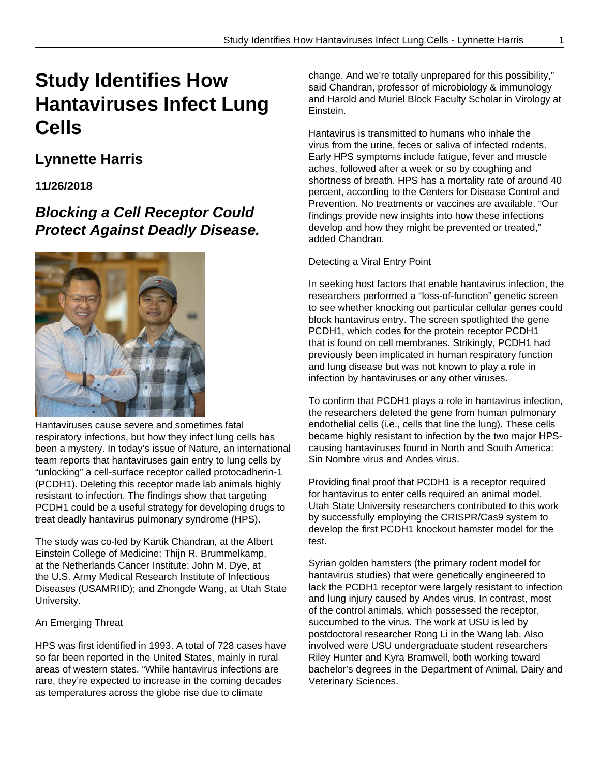# **Study Identifies How Hantaviruses Infect Lung Cells**

# **Lynnette Harris**

### **11/26/2018**

# **Blocking a Cell Receptor Could Protect Against Deadly Disease.**



Hantaviruses cause severe and sometimes fatal respiratory infections, but how they infect lung cells has been a mystery. In today's issue of Nature, an international team reports that hantaviruses gain entry to lung cells by "unlocking" a cell-surface receptor called protocadherin-1 (PCDH1). Deleting this receptor made lab animals highly resistant to infection. The findings show that targeting PCDH1 could be a useful strategy for developing drugs to treat deadly hantavirus pulmonary syndrome (HPS).

The study was co-led by Kartik Chandran, at the Albert Einstein College of Medicine; Thijn R. Brummelkamp, at the Netherlands Cancer Institute; John M. Dye, at the U.S. Army Medical Research Institute of Infectious Diseases (USAMRIID); and Zhongde Wang, at Utah State University.

### An Emerging Threat

HPS was first identified in 1993. A total of 728 cases have so far been reported in the United States, mainly in rural areas of western states. "While hantavirus infections are rare, they're expected to increase in the coming decades as temperatures across the globe rise due to climate

change. And we're totally unprepared for this possibility," said Chandran, professor of microbiology & immunology and Harold and Muriel Block Faculty Scholar in Virology at Einstein.

Hantavirus is transmitted to humans who inhale the virus from the urine, feces or saliva of infected rodents. Early HPS symptoms include fatigue, fever and muscle aches, followed after a week or so by coughing and shortness of breath. HPS has a mortality rate of around 40 percent, according to the Centers for Disease Control and Prevention. No treatments or vaccines are available. "Our findings provide new insights into how these infections develop and how they might be prevented or treated," added Chandran.

### Detecting a Viral Entry Point

In seeking host factors that enable hantavirus infection, the researchers performed a "loss-of-function" genetic screen to see whether knocking out particular cellular genes could block hantavirus entry. The screen spotlighted the gene PCDH1, which codes for the protein receptor PCDH1 that is found on cell membranes. Strikingly, PCDH1 had previously been implicated in human respiratory function and lung disease but was not known to play a role in infection by hantaviruses or any other viruses.

To confirm that PCDH1 plays a role in hantavirus infection, the researchers deleted the gene from human pulmonary endothelial cells (i.e., cells that line the lung). These cells became highly resistant to infection by the two major HPScausing hantaviruses found in North and South America: Sin Nombre virus and Andes virus.

Providing final proof that PCDH1 is a receptor required for hantavirus to enter cells required an animal model. Utah State University researchers contributed to this work by successfully employing the CRISPR/Cas9 system to develop the first PCDH1 knockout hamster model for the test.

Syrian golden hamsters (the primary rodent model for hantavirus studies) that were genetically engineered to lack the PCDH1 receptor were largely resistant to infection and lung injury caused by Andes virus. In contrast, most of the control animals, which possessed the receptor, succumbed to the virus. The work at USU is led by postdoctoral researcher Rong Li in the Wang lab. Also involved were USU undergraduate student researchers Riley Hunter and Kyra Bramwell, both working toward bachelor's degrees in the Department of Animal, Dairy and Veterinary Sciences.